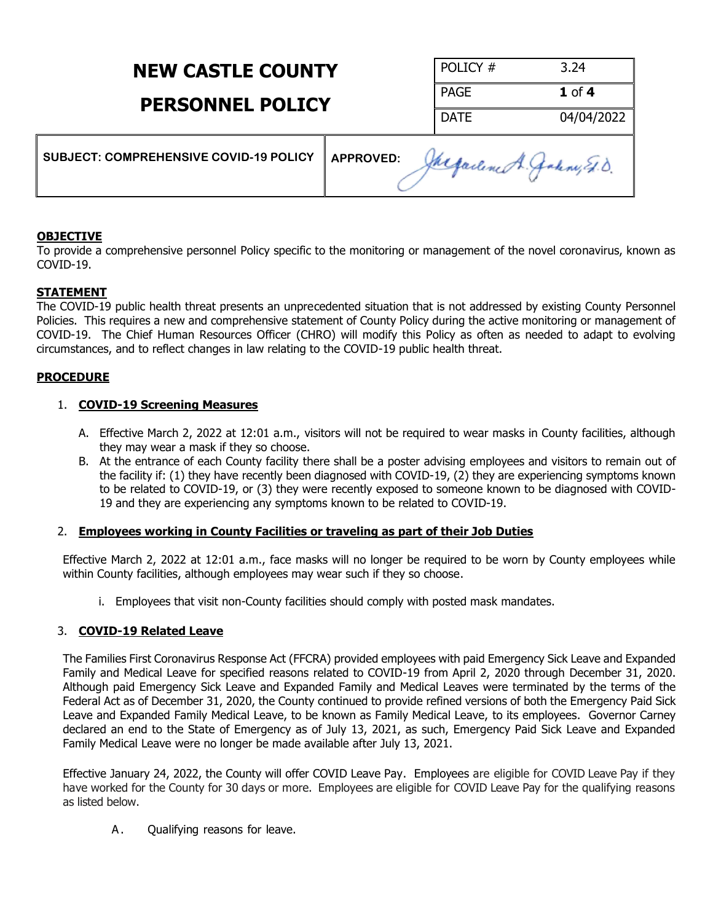## **NEW CASTLE COUNTY**

## **PERSONNEL POLICY**

| POLICY #    | 3.24       |
|-------------|------------|
| <b>PAGE</b> | $1$ of $4$ |
| <b>DATE</b> | 04/04/2022 |

| SUBJECT: COMPREHENSIVE COVID-19 POLICY | <b>APPROVED:</b><br>Jacqueline A. Jakny Et.D |
|----------------------------------------|----------------------------------------------|
|----------------------------------------|----------------------------------------------|

### **OBJECTIVE**

To provide a comprehensive personnel Policy specific to the monitoring or management of the novel coronavirus, known as COVID-19.

### **STATEMENT**

The COVID-19 public health threat presents an unprecedented situation that is not addressed by existing County Personnel Policies. This requires a new and comprehensive statement of County Policy during the active monitoring or management of COVID-19. The Chief Human Resources Officer (CHRO) will modify this Policy as often as needed to adapt to evolving circumstances, and to reflect changes in law relating to the COVID-19 public health threat.

## **PROCEDURE**

## 1. **COVID-19 Screening Measures**

- A. Effective March 2, 2022 at 12:01 a.m., visitors will not be required to wear masks in County facilities, although they may wear a mask if they so choose.
- B. At the entrance of each County facility there shall be a poster advising employees and visitors to remain out of the facility if: (1) they have recently been diagnosed with COVID-19, (2) they are experiencing symptoms known to be related to COVID-19, or (3) they were recently exposed to someone known to be diagnosed with COVID-19 and they are experiencing any symptoms known to be related to COVID-19.

### 2. **Employees working in County Facilities or traveling as part of their Job Duties**

Effective March 2, 2022 at 12:01 a.m., face masks will no longer be required to be worn by County employees while within County facilities, although employees may wear such if they so choose.

i. Employees that visit non-County facilities should comply with posted mask mandates.

## 3. **COVID-19 Related Leave**

The Families First Coronavirus Response Act (FFCRA) provided employees with paid Emergency Sick Leave and Expanded Family and Medical Leave for specified reasons related to COVID-19 from April 2, 2020 through December 31, 2020. Although paid Emergency Sick Leave and Expanded Family and Medical Leaves were terminated by the terms of the Federal Act as of December 31, 2020, the County continued to provide refined versions of both the Emergency Paid Sick Leave and Expanded Family Medical Leave, to be known as Family Medical Leave, to its employees. Governor Carney declared an end to the State of Emergency as of July 13, 2021, as such, Emergency Paid Sick Leave and Expanded Family Medical Leave were no longer be made available after July 13, 2021.

Effective January 24, 2022, the County will offer COVID Leave Pay. Employees are eligible for COVID Leave Pay if they have worked for the County for 30 days or more. Employees are eligible for COVID Leave Pay for the qualifying reasons as listed below.

A. Qualifying reasons for leave.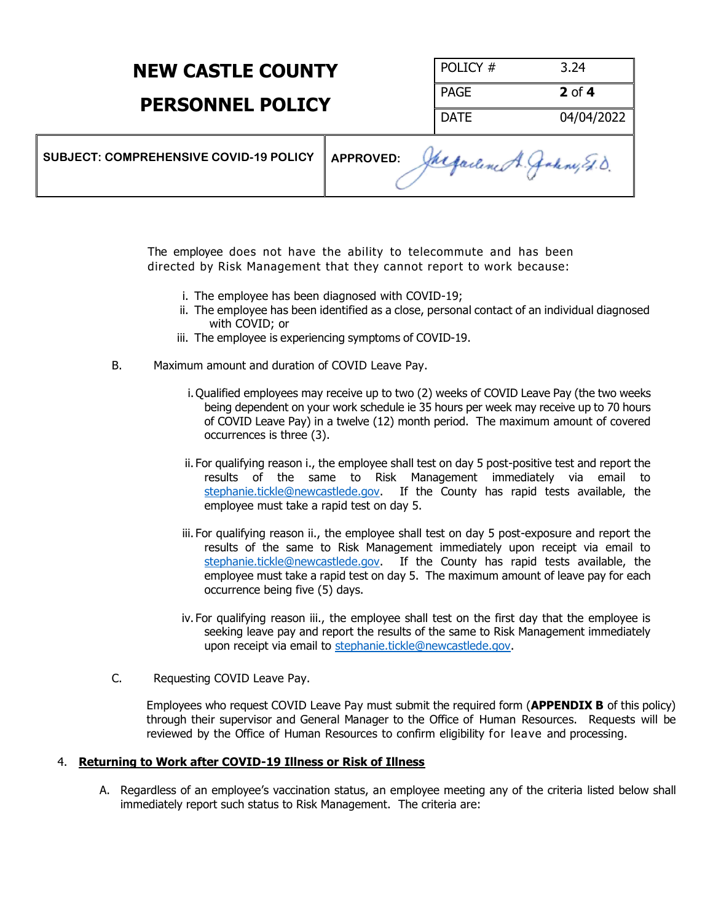## **NEW CASTLE COUNTY**

## **PERSONNEL POLICY**

| POLICY#     | 3.24       |
|-------------|------------|
| I PAGE      | $2$ of $4$ |
| <b>DATE</b> | 04/04/2022 |

| SUBJECT: COMPREHENSIVE COVID-19 POLICY   APPROVED: | Jacqueline A. Jakny E.D. |
|----------------------------------------------------|--------------------------|
|----------------------------------------------------|--------------------------|

The employee does not have the ability to telecommute and has been directed by Risk Management that they cannot report to work because:

- i. The employee has been diagnosed with COVID-19;
- ii. The employee has been identified as a close, personal contact of an individual diagnosed with COVID; or
- iii. The employee is experiencing symptoms of COVID-19.
- B. Maximum amount and duration of COVID Leave Pay.
	- i. Qualified employees may receive up to two (2) weeks of COVID Leave Pay (the two weeks being dependent on your work schedule ie 35 hours per week may receive up to 70 hours of COVID Leave Pay) in a twelve (12) month period. The maximum amount of covered occurrences is three (3).
	- ii. For qualifying reason i., the employee shall test on day 5 post-positive test and report the results of the same to Risk Management immediately via email to [stephanie.tickle@newcastlede.gov.](mailto:stephanie.tickle@newcastlede.gov) If the County has rapid tests available, the employee must take a rapid test on day 5.
	- iii. For qualifying reason ii., the employee shall test on day 5 post-exposure and report the results of the same to Risk Management immediately upon receipt via email to [stephanie.tickle@newcastlede.gov.](mailto:stephanie.tickle@newcastlede.gov) If the County has rapid tests available, the employee must take a rapid test on day 5. The maximum amount of leave pay for each occurrence being five (5) days.
	- iv. For qualifying reason iii., the employee shall test on the first day that the employee is seeking leave pay and report the results of the same to Risk Management immediately upon receipt via email to [stephanie.tickle@newcastlede.gov.](mailto:stephanie.tickle@newcastlede.gov)
- C. Requesting COVID Leave Pay.

Employees who request COVID Leave Pay must submit the required form (**APPENDIX B** of this policy) through their supervisor and General Manager to the Office of Human Resources. Requests will be reviewed by the Office of Human Resources to confirm eligibility for leave and processing.

#### 4. **Returning to Work after COVID-19 Illness or Risk of Illness**

A. Regardless of an employee's vaccination status, an employee meeting any of the criteria listed below shall immediately report such status to Risk Management. The criteria are: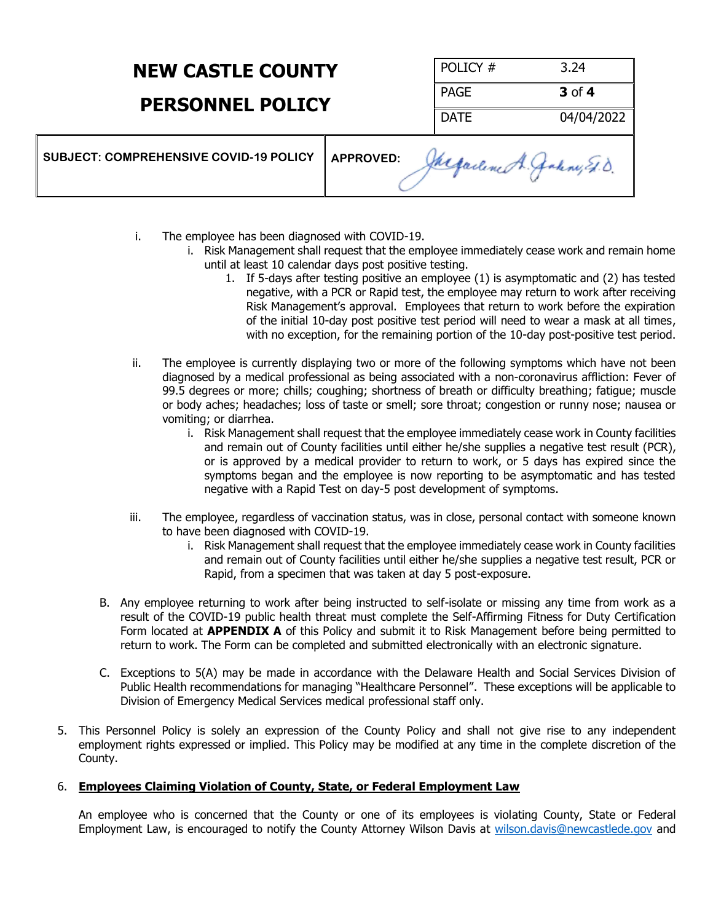# **NEW CASTLE COUNTY**

## **PERSONNEL POLICY**

| POLICY #    | 3.24              |
|-------------|-------------------|
| PAGE        | $3$ of $4$        |
| <b>DATE</b> | 04/04/2022<br>- 1 |

| SUBJECT: COMPREHENSIVE COVID-19 POLICY | <b>APPROVED:</b><br>Jacqueline A. Galeny E.D. |
|----------------------------------------|-----------------------------------------------|
|----------------------------------------|-----------------------------------------------|

- i. The employee has been diagnosed with COVID-19.
	- i. Risk Management shall request that the employee immediately cease work and remain home until at least 10 calendar days post positive testing.
		- 1. If 5-days after testing positive an employee (1) is asymptomatic and (2) has tested negative, with a PCR or Rapid test, the employee may return to work after receiving Risk Management's approval. Employees that return to work before the expiration of the initial 10-day post positive test period will need to wear a mask at all times, with no exception, for the remaining portion of the 10-day post-positive test period.
- ii. The employee is currently displaying two or more of the following symptoms which have not been diagnosed by a medical professional as being associated with a non-coronavirus affliction: Fever of 99.5 degrees or more; chills; coughing; shortness of breath or difficulty breathing; fatigue; muscle or body aches; headaches; loss of taste or smell; sore throat; congestion or runny nose; nausea or vomiting; or diarrhea.
	- i. Risk Management shall request that the employee immediately cease work in County facilities and remain out of County facilities until either he/she supplies a negative test result (PCR), or is approved by a medical provider to return to work, or 5 days has expired since the symptoms began and the employee is now reporting to be asymptomatic and has tested negative with a Rapid Test on day-5 post development of symptoms.
- iii. The employee, regardless of vaccination status, was in close, personal contact with someone known to have been diagnosed with COVID-19.
	- i. Risk Management shall request that the employee immediately cease work in County facilities and remain out of County facilities until either he/she supplies a negative test result, PCR or Rapid, from a specimen that was taken at day 5 post-exposure.
- B. Any employee returning to work after being instructed to self-isolate or missing any time from work as a result of the COVID-19 public health threat must complete the Self-Affirming Fitness for Duty Certification Form located at **APPENDIX A** of this Policy and submit it to Risk Management before being permitted to return to work. The Form can be completed and submitted electronically with an electronic signature.
- C. Exceptions to 5(A) may be made in accordance with the Delaware Health and Social Services Division of Public Health recommendations for managing "Healthcare Personnel". These exceptions will be applicable to Division of Emergency Medical Services medical professional staff only.
- 5. This Personnel Policy is solely an expression of the County Policy and shall not give rise to any independent employment rights expressed or implied. This Policy may be modified at any time in the complete discretion of the County.

### 6. **Employees Claiming Violation of County, State, or Federal Employment Law**

An employee who is concerned that the County or one of its employees is violating County, State or Federal Employment Law, is encouraged to notify the County Attorney Wilson Davis at [wilson.davis@newcastlede.gov](mailto:wilson.davis@newcastlede.gov) and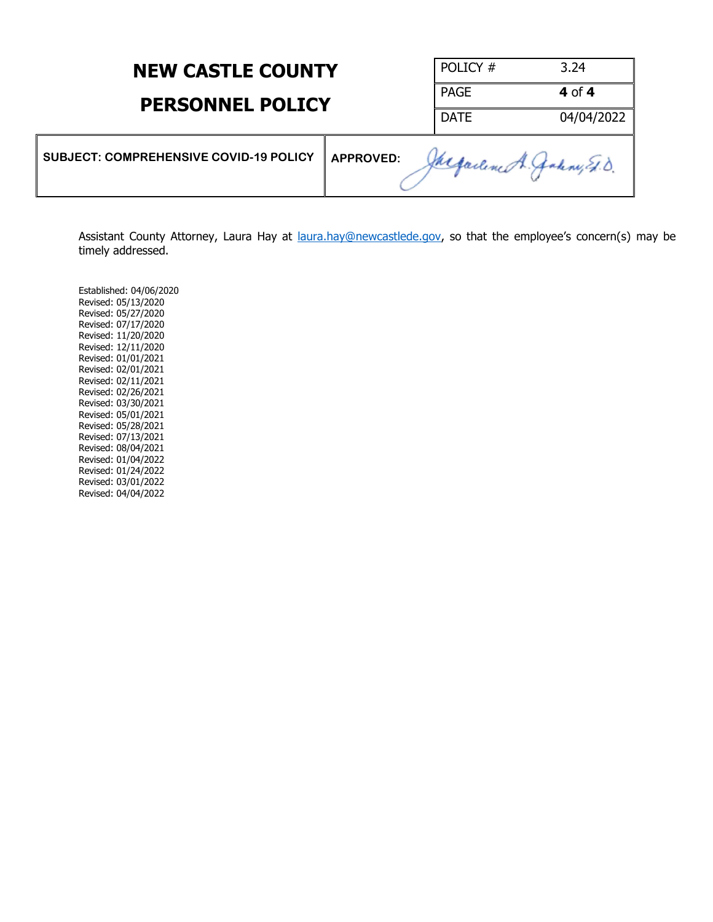| <b>NEW CASTLE COUNTY</b><br><b>PERSONNEL POLICY</b> |                  | POLICY #                | 3.24       |
|-----------------------------------------------------|------------------|-------------------------|------------|
|                                                     |                  | <b>PAGE</b>             | 4 of 4     |
|                                                     |                  | <b>DATE</b>             | 04/04/2022 |
| <b>SUBJECT: COMPREHENSIVE COVID-19 POLICY</b>       | <b>APPROVED:</b> | Megarline A. Jakny E.D. |            |

Assistant County Attorney, Laura Hay at [laura.hay@newcastlede.gov](mailto:laura.hay@newcastlede.gov), so that the employee's concern(s) may be timely addressed.

Established: 04/06/2020 Revised: 05/13/2020 Revised: 05/27/2020 Revised: 07/17/2020 Revised: 11/20/2020 Revised: 12/11/2020 Revised: 01/01/2021 Revised: 02/01/2021 Revised: 02/11/2021 Revised: 02/26/2021 Revised: 03/30/2021 Revised: 05/01/2021 Revised: 05/28/2021 Revised: 07/13/2021 Revised: 08/04/2021 Revised: 01/04/2022 Revised: 01/24/2022 Revised: 03/01/2022 Revised: 04/04/2022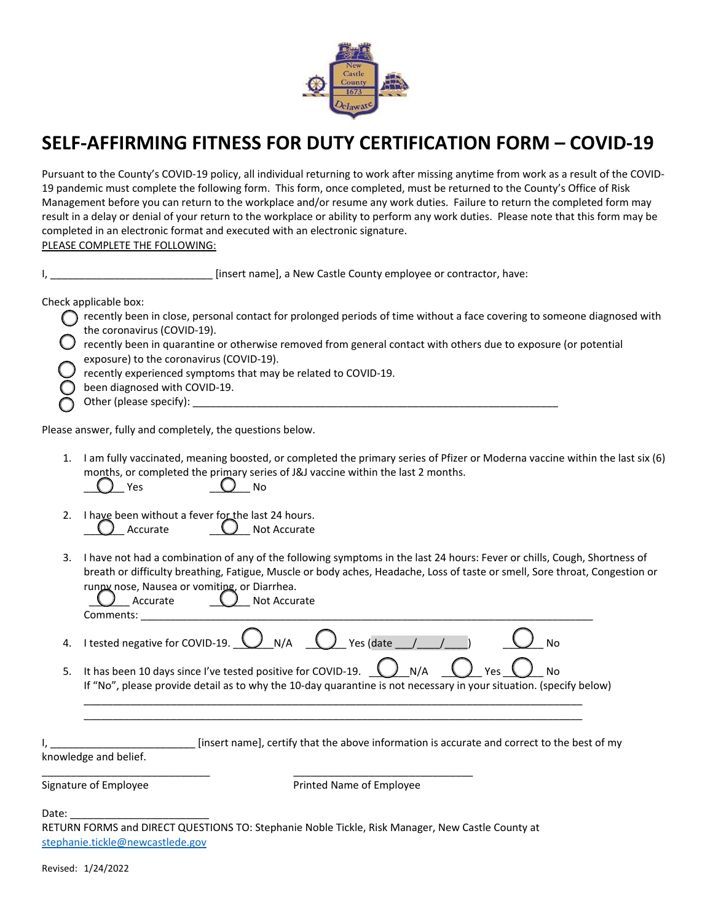

## **SELF‐AFFIRMING FITNESS FOR DUTY CERTIFICATION FORM – COVID‐19**

Pursuant to the County's COVID‐19 policy, all individual returning to work after missing anytime from work as a result of the COVID‐ 19 pandemic must complete the following form. This form, once completed, must be returned to the County's Office of Risk Management before you can return to the workplace and/or resume any work duties. Failure to return the completed form may result in a delay or denial of your return to the workplace or ability to perform any work duties. Please note that this form may be completed in an electronic format and executed with an electronic signature. PLEASE COMPLETE THE FOLLOWING:

I, \_\_\_\_\_\_\_\_\_\_\_\_\_\_\_\_\_\_\_\_\_\_\_\_\_\_\_\_ [insert name], a New Castle County employee or contractor, have:

Check applicable box:

- $\bigcap$  recently been in close, personal contact for prolonged periods of time without a face covering to someone diagnosed with the coronavirus (COVID‐19).
- recently been in quarantine or otherwise removed from general contact with others due to exposure (or potential exposure) to the coronavirus (COVID‐19).
- recently experienced symptoms that may be related to COVID-19.
- been diagnosed with COVID-19.
- o Other (please specify): \_\_\_\_\_\_\_\_\_\_\_\_\_\_\_\_\_\_\_\_\_\_\_\_\_\_\_\_\_\_\_\_\_\_\_\_\_\_\_\_\_\_\_\_\_\_\_\_\_\_\_\_\_\_\_\_\_\_\_\_\_\_\_

Please answer, fully and completely, the questions below.

- 1. I am fully vaccinated, meaning boosted, or completed the primary series of Pfizer or Moderna vaccine within the last six (6) months, or completed the primary series of J&J vaccine within the last 2 months.  $Yes$  No
- 2. I have been without a fever for the last 24 hours. ) Accurate  $\bigcup$  Not Accurate
- 3. I have not had a combination of any of the following symptoms in the last 24 hours: Fever or chills, Cough, Shortness of breath or difficulty breathing, Fatigue, Muscle or body aches, Headache, Loss of taste or smell, Sore throat, Congestion or runny nose, Nausea or vomiting, or Diarrhea.

| dle                            | NO.<br>. |
|--------------------------------|----------|
| -<br>`omments <sup>.</sup><br> |          |

- 4. I tested negative for COVID-19.  $\bigcup_{N/A}$   $\bigcup_{N/A}$  Yes (date  $\bigcup_{I}$   $\bigcup_{I}$  )  $\bigcup_{N0}$
- 5. It has been 10 days since I've tested positive for COVID-19.  $\bigcup N/A$   $\bigcup Y$ es  $\bigcup N$ o If "No", please provide detail as to why the 10-day quarantine is not necessary in your situation. (specify below) \_\_\_\_\_\_\_\_\_\_\_\_\_\_\_\_\_\_\_\_\_\_\_\_\_\_\_\_\_\_\_\_\_\_\_\_\_\_\_\_\_\_\_\_\_\_\_\_\_\_\_\_\_\_\_\_\_\_\_\_\_\_\_\_\_\_\_\_\_\_\_\_\_\_\_\_\_\_\_\_\_\_\_\_\_\_

\_\_\_\_\_\_\_\_\_\_\_\_\_\_\_\_\_\_\_\_\_\_\_\_\_\_\_\_\_\_\_\_\_\_\_\_\_\_\_\_\_\_\_\_\_\_\_\_\_\_\_\_\_\_\_\_\_\_\_\_\_\_\_\_\_\_\_\_\_\_\_\_\_\_\_\_\_\_\_\_\_\_\_\_\_\_

I, \_\_\_\_\_\_\_\_\_\_\_\_\_\_\_\_\_\_\_\_\_\_\_\_\_ [insert name], certify that the above information is accurate and correct to the best of my

knowledge and belief.

Signature of Employee *Signature of Employee Printed Name of Employee* 

Date:

RETURN FORMS and DIRECT QUESTIONS TO: Stephanie Noble Tickle, Risk Manager, New Castle County at stephanie.tickle@newcastlede.gov

\_\_\_\_\_\_\_\_\_\_\_\_\_\_\_\_\_\_\_\_\_\_\_\_\_\_\_\_\_ \_\_\_\_\_\_\_\_\_\_\_\_\_\_\_\_\_\_\_\_\_\_\_\_\_\_\_\_\_\_\_